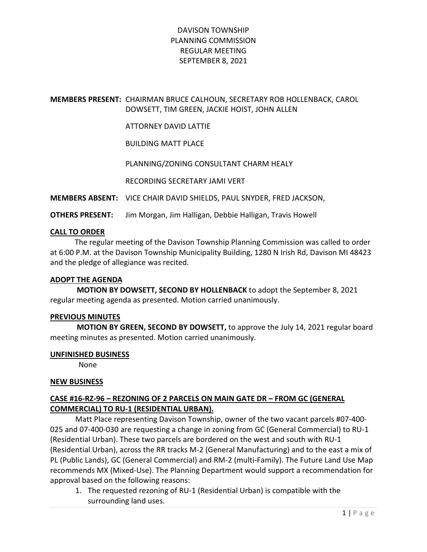# DAVISON TOWNSHIP PLANNING COMMISSION REGULAR MEETING SEPTEMBER 8, 2021

# MEMBERS PRESENT: CHAIRMAN BRUCE CALHOUN, SECRETARY ROB HOLLENBACK, CAROL DOWSETT, TIM GREEN, JACKIE HOIST, JOHN ALLEN

ATTORNEY DAVID LATTIE

BUILDING MATT PLACE

PLANNING/ZONING CONSULTANT CHARM HEALY

RECORDING SECRETARY JAMI VERT

MEMBERS ABSENT: VICE CHAIR DAVID SHIELDS, PAUL SNYDER, FRED JACKSON,

OTHERS PRESENT: Jim Morgan, Jim Halligan, Debbie Halligan, Travis Howell

### CALL TO ORDER

 The regular meeting of the Davison Township Planning Commission was called to order at 6:00 P.M. at the Davison Township Municipality Building, 1280 N Irish Rd, Davison MI 48423 and the pledge of allegiance was recited.

#### ADOPT THE AGENDA

 MOTION BY DOWSETT, SECOND BY HOLLENBACK to adopt the September 8, 2021 regular meeting agenda as presented. Motion carried unanimously.

#### PREVIOUS MINUTES

 MOTION BY GREEN, SECOND BY DOWSETT, to approve the July 14, 2021 regular board meeting minutes as presented. Motion carried unanimously.

### UNFINISHED BUSINESS

None

#### NEW BUSINESS

# CASE #16-RZ-96 – REZONING OF 2 PARCELS ON MAIN GATE DR – FROM GC (GENERAL COMMERCIAL) TO RU-1 (RESIDENTIAL URBAN).

Matt Place representing Davison Township, owner of the two vacant parcels #07-400- 025 and 07-400-030 are requesting a change in zoning from GC (General Commercial) to RU-1 (Residential Urban). These two parcels are bordered on the west and south with RU-1 (Residential Urban), across the RR tracks M-2 (General Manufacturing) and to the east a mix of PL (Public Lands), GC (General Commercial) and RM-2 (multi-Family). The Future Land Use Map recommends MX (Mixed-Use). The Planning Department would support a recommendation for approval based on the following reasons:

1. The requested rezoning of RU-1 (Residential Urban) is compatible with the surrounding land uses.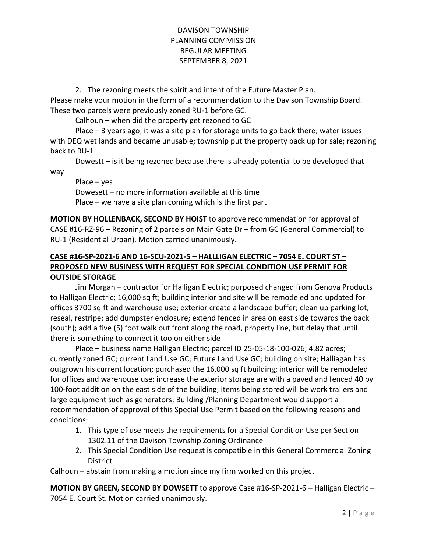# DAVISON TOWNSHIP PLANNING COMMISSION REGULAR MEETING SEPTEMBER 8, 2021

2. The rezoning meets the spirit and intent of the Future Master Plan.

Please make your motion in the form of a recommendation to the Davison Township Board. These two parcels were previously zoned RU-1 before GC.

Calhoun – when did the property get rezoned to GC

Place – 3 years ago; it was a site plan for storage units to go back there; water issues with DEQ wet lands and became unusable; township put the property back up for sale; rezoning back to RU-1

Dowestt – is it being rezoned because there is already potential to be developed that way

Place – yes Dowesett – no more information available at this time Place – we have a site plan coming which is the first part

MOTION BY HOLLENBACK, SECOND BY HOIST to approve recommendation for approval of CASE #16-RZ-96 – Rezoning of 2 parcels on Main Gate Dr – from GC (General Commercial) to RU-1 (Residential Urban). Motion carried unanimously.

# CASE #16-SP-2021-6 AND 16-SCU-2021-5 – HALLLIGAN ELECTRIC – 7054 E. COURT ST – PROPOSED NEW BUSINESS WITH REQUEST FOR SPECIAL CONDITION USE PERMIT FOR OUTSIDE STORAGE

 Jim Morgan – contractor for Halligan Electric; purposed changed from Genova Products to Halligan Electric; 16,000 sq ft; building interior and site will be remodeled and updated for offices 3700 sq ft and warehouse use; exterior create a landscape buffer; clean up parking lot, reseal, restripe; add dumpster enclosure; extend fenced in area on east side towards the back (south); add a five (5) foot walk out front along the road, property line, but delay that until there is something to connect it too on either side

 Place – business name Halligan Electric; parcel ID 25-05-18-100-026; 4.82 acres; currently zoned GC; current Land Use GC; Future Land Use GC; building on site; Halliagan has outgrown his current location; purchased the 16,000 sq ft building; interior will be remodeled for offices and warehouse use; increase the exterior storage are with a paved and fenced 40 by 100-foot addition on the east side of the building; items being stored will be work trailers and large equipment such as generators; Building /Planning Department would support a recommendation of approval of this Special Use Permit based on the following reasons and conditions:

- 1. This type of use meets the requirements for a Special Condition Use per Section 1302.11 of the Davison Township Zoning Ordinance
- 2. This Special Condition Use request is compatible in this General Commercial Zoning **District**

Calhoun – abstain from making a motion since my firm worked on this project

MOTION BY GREEN, SECOND BY DOWSETT to approve Case #16-SP-2021-6 – Halligan Electric – 7054 E. Court St. Motion carried unanimously.